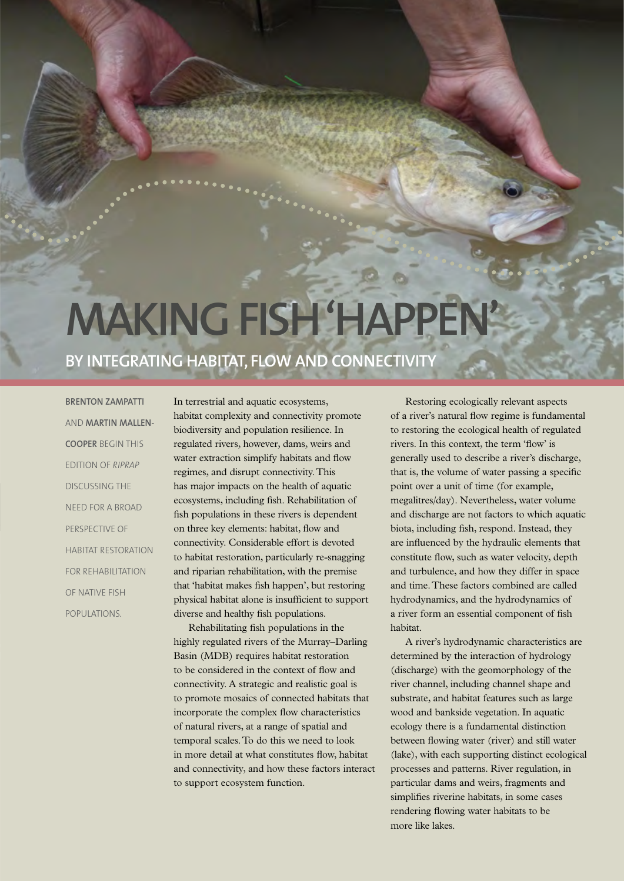## **Making fish 'happen'**

## **by integrating habitat, flow and connectivity**

**Brenton Zampatti** and **Martin Mallen-Cooper** begin this edition of *RipRap* discussing the need for a broad perspective of habitat restoration for rehabilitation of native fish populations.

In terrestrial and aquatic ecosystems, habitat complexity and connectivity promote biodiversity and population resilience. In regulated rivers, however, dams, weirs and water extraction simplify habitats and flow regimes, and disrupt connectivity. This has major impacts on the health of aquatic ecosystems, including fish. Rehabilitation of fish populations in these rivers is dependent on three key elements: habitat, flow and connectivity. Considerable effort is devoted to habitat restoration, particularly re-snagging and riparian rehabilitation, with the premise that 'habitat makes fish happen', but restoring physical habitat alone is insufficient to support diverse and healthy fish populations.

Rehabilitating fish populations in the highly regulated rivers of the Murray–Darling Basin (MDB) requires habitat restoration to be considered in the context of flow and connectivity. A strategic and realistic goal is to promote mosaics of connected habitats that incorporate the complex flow characteristics of natural rivers, at a range of spatial and temporal scales. To do this we need to look in more detail at what constitutes flow, habitat and connectivity, and how these factors interact to support ecosystem function.

Restoring ecologically relevant aspects of a river's natural flow regime is fundamental to restoring the ecological health of regulated rivers. In this context, the term 'flow' is generally used to describe a river's discharge, that is, the volume of water passing a specific point over a unit of time (for example, megalitres/day). Nevertheless, water volume and discharge are not factors to which aquatic biota, including fish, respond. Instead, they are influenced by the hydraulic elements that constitute flow, such as water velocity, depth and turbulence, and how they differ in space and time. These factors combined are called hydrodynamics, and the hydrodynamics of a river form an essential component of fish habitat.

A river's hydrodynamic characteristics are determined by the interaction of hydrology (discharge) with the geomorphology of the river channel, including channel shape and substrate, and habitat features such as large wood and bankside vegetation. In aquatic ecology there is a fundamental distinction between flowing water (river) and still water (lake), with each supporting distinct ecological processes and patterns. River regulation, in particular dams and weirs, fragments and simplifies riverine habitats, in some cases rendering flowing water habitats to be more like lakes.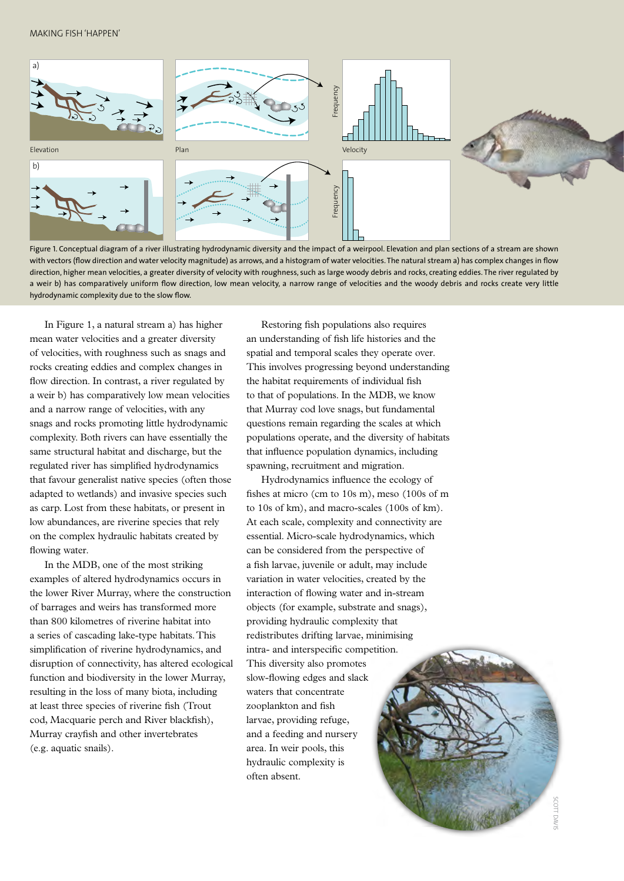## Making fish 'happen'



Figure 1. Conceptual diagram of a river illustrating hydrodynamic diversity and the impact of a weirpool. Elevation and plan sections of a stream are shown with vectors (flow direction and water velocity magnitude) as arrows, and a histogram of water velocities. The natural stream a) has complex changes in flow direction, higher mean velocities, a greater diversity of velocity with roughness, such as large woody debris and rocks, creating eddies. The river regulated by a weir b) has comparatively uniform flow direction, low mean velocity, a narrow range of velocities and the woody debris and rocks create very little hydrodynamic complexity due to the slow flow.

In Figure 1, a natural stream a) has higher mean water velocities and a greater diversity of velocities, with roughness such as snags and rocks creating eddies and complex changes in flow direction. In contrast, a river regulated by a weir b) has comparatively low mean velocities and a narrow range of velocities, with any snags and rocks promoting little hydrodynamic complexity. Both rivers can have essentially the same structural habitat and discharge, but the regulated river has simplified hydrodynamics that favour generalist native species (often those adapted to wetlands) and invasive species such as carp. Lost from these habitats, or present in low abundances, are riverine species that rely on the complex hydraulic habitats created by flowing water.

In the MDB, one of the most striking examples of altered hydrodynamics occurs in the lower River Murray, where the construction of barrages and weirs has transformed more than 800 kilometres of riverine habitat into a series of cascading lake-type habitats. This simplification of riverine hydrodynamics, and disruption of connectivity, has altered ecological function and biodiversity in the lower Murray, resulting in the loss of many biota, including at least three species of riverine fish (Trout cod, Macquarie perch and River blackfish), Murray crayfish and other invertebrates (e.g. aquatic snails).

Restoring fish populations also requires an understanding of fish life histories and the spatial and temporal scales they operate over. This involves progressing beyond understanding the habitat requirements of individual fish to that of populations. In the MDB, we know that Murray cod love snags, but fundamental questions remain regarding the scales at which populations operate, and the diversity of habitats that influence population dynamics, including spawning, recruitment and migration.

Hydrodynamics influence the ecology of fishes at micro (cm to 10s m), meso (100s of m to 10s of km), and macro-scales (100s of km). At each scale, complexity and connectivity are essential. Micro-scale hydrodynamics, which can be considered from the perspective of a fish larvae, juvenile or adult, may include variation in water velocities, created by the interaction of flowing water and in-stream objects (for example, substrate and snags), providing hydraulic complexity that redistributes drifting larvae, minimising intra- and interspecific competition. This diversity also promotes slow-flowing edges and slack waters that concentrate zooplankton and fish larvae, providing refuge, and a feeding and nursery area. In weir pools, this hydraulic complexity is often absent.